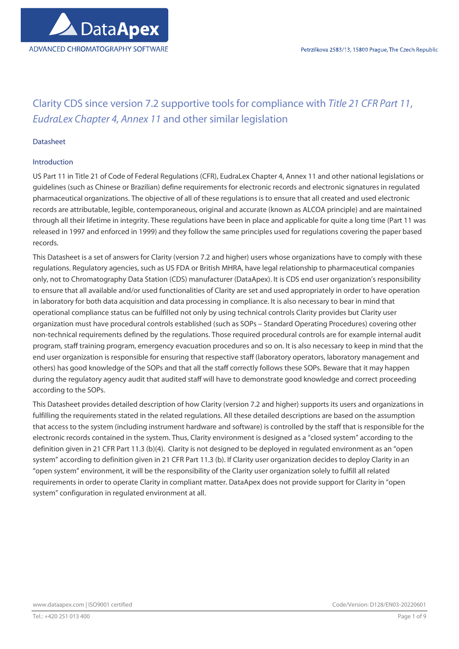# Clarity CDS since version 7.2 supportive tools for compliance with Title 21 CFR Part 11, EudraLex Chapter 4, Annex 11 and other similar legislation

## Datasheet

## Introduction

US Part 11 in Title 21 of Code of Federal Regulations (CFR), EudraLex Chapter 4, Annex 11 and other national legislations or guidelines (such as Chinese or Brazilian) define requirements for electronic records and electronic signatures in regulated pharmaceutical organizations. The objective of all of these regulations is to ensure that all created and used electronic records are attributable, legible, contemporaneous, original and accurate (known as ALCOA principle) and are maintained through all their lifetime in integrity. These regulations have been in place and applicable for quite a long time (Part 11 was released in 1997 and enforced in 1999) and they follow the same principles used for regulations covering the paper based records.

This Datasheet is a set of answers for Clarity (version 7.2 and higher) users whose organizations have to comply with these regulations. Regulatory agencies, such as US FDA or British MHRA, have legal relationship to pharmaceutical companies only, not to Chromatography Data Station (CDS) manufacturer (DataApex). It is CDS end user organization's responsibility to ensure that all available and/or used functionalities of Clarity are set and used appropriately in order to have operation in laboratory for both data acquisition and data processing in compliance. It is also necessary to bear in mind that operational compliance status can be fulfilled not only by using technical controls Clarity provides but Clarity user organization must have procedural controls established (such as SOPs – Standard Operating Procedures) covering other non-technical requirements defined by the regulations. Those required procedural controls are for example internal audit program, staff training program, emergency evacuation procedures and so on. It is also necessary to keep in mind that the end user organization is responsible for ensuring that respective staff (laboratory operators, laboratory management and others) has good knowledge of the SOPs and that all the staff correctly follows these SOPs. Beware that it may happen during the regulatory agency audit that audited staff will have to demonstrate good knowledge and correct proceeding according to the SOPs.

This Datasheet provides detailed description of how Clarity (version 7.2 and higher) supports its users and organizations in fulfilling the requirements stated in the related regulations. All these detailed descriptions are based on the assumption that access to the system (including instrument hardware and software) is controlled by the staff that is responsible for the electronic records contained in the system. Thus, Clarity environment is designed as a "closed system" according to the definition given in 21 CFR Part 11.3 (b)(4). Clarity is not designed to be deployed in regulated environment as an "open system" according to definition given in 21 CFR Part 11.3 (b). If Clarity user organization decides to deploy Clarity in an "open system" environment, it will be the responsibility of the Clarity user organization solely to fulfill all related requirements in order to operate Clarity in compliant matter. DataApex does not provide support for Clarity in "open system" configuration in regulated environment at all.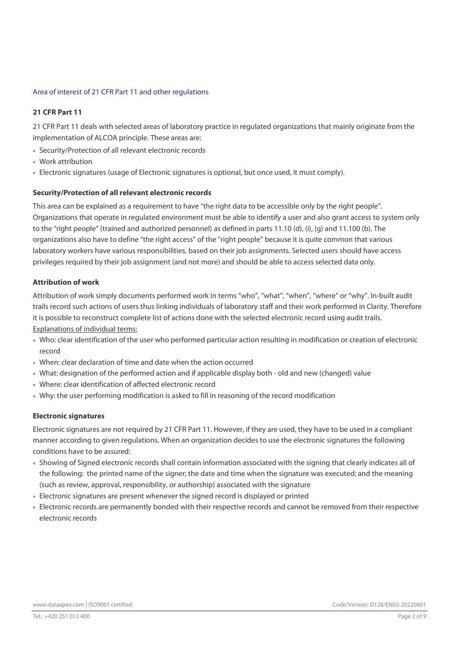## Area of interest of 21 CFR Part 11 and other regulations

## 21 CFR Part 11

21 CFR Part 11 deals with selected areas of laboratory practice in regulated organizations that mainly originate from the implementation of ALCOA principle. These areas are:

- Security/Protection of all relevant electronic records
- Work attribution
- Electronic signatures (usage of Electronic signatures is optional, but once used, it must comply).

## Security/Protection of all relevant electronic records

This area can be explained as a requirement to have "the right data to be accessible only by the right people". Organizations that operate in regulated environment must be able to identify a user and also grant access to system only to the "right people" (trained and authorized personnel) as defined in parts 11.10 (d), (i), (g) and 11.100 (b). The organizations also have to define "the right access" of the "right people" because it is quite common that various laboratory workers have various responsibilities, based on their job assignments. Selected users should have access privileges required by their job assignment (and not more) and should be able to access selected data only.

## Attribution of work

Attribution of work simply documents performed work in terms "who", "what", "when", "where" or "why". In-built audit trails record such actions of users thus linking individuals of laboratory staff and their work performed in Clarity. Therefore it is possible to reconstruct complete list of actions done with the selected electronic record using audit trails. Explanations of individual terms:

- Who: clear identification of the user who performed particular action resulting in modification or creation of electronic record
- When: clear declaration of time and date when the action occurred
- What: designation of the performed action and if applicable display both old and new (changed) value
- Where: clear identification of affected electronic record
- Why: the user performing modification is asked to fill in reasoning of the record modification

#### Electronic signatures

Electronic signatures are not required by 21 CFR Part 11. However, if they are used, they have to be used in a compliant manner according to given regulations. When an organization decides to use the electronic signatures the following conditions have to be assured:

- Showing of Signed electronic records shall contain information associated with the signing that clearly indicates all of the following: the printed name of the signer; the date and time when the signature was executed; and the meaning (such as review, approval, responsibility, or authorship) associated with the signature
- Electronic signatures are present whenever the signed record is displayed or printed
- Electronic records are permanently bonded with their respective records and cannot be removed from their respective electronic records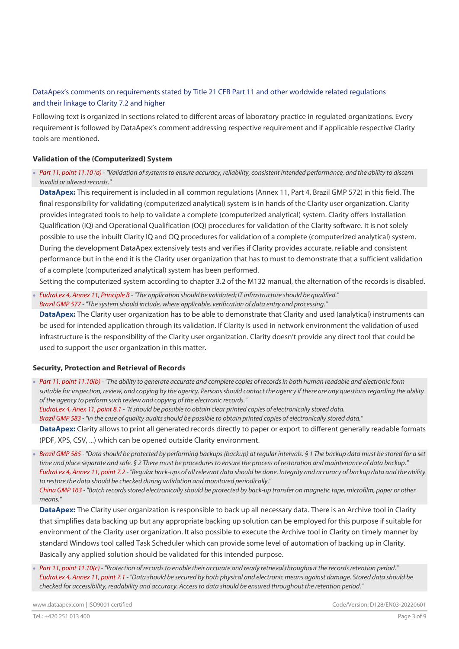## DataApex's comments on requirements stated by Title 21 CFR Part 11 and other worldwide related regulations and their linkage to Clarity 7.2 and higher

Following text is organized in sections related to different areas of laboratory practice in regulated organizations. Every requirement is followed by DataApex's comment addressing respective requirement and if applicable respective Clarity tools are mentioned.

## Validation of the (Computerized) System

Part 11, point 11.10 (a) - "Validation of systems to ensure accuracy, reliability, consistent intended performance, and the ability to discern invalid or altered records."

DataApex: This requirement is included in all common requlations (Annex 11, Part 4, Brazil GMP 572) in this field. The final responsibility for validating (computerized analytical) system is in hands of the Clarity user organization. Clarity provides integrated tools to help to validate a complete (computerized analytical) system. Clarity offers Installation Qualification (IQ) and Operational Qualification (OQ) procedures for validation of the Clarity software. It is not solely possible to use the inbuilt Clarity IQ and OQ procedures for validation of a complete (computerized analytical) system. During the development DataApex extensively tests and verifies if Clarity provides accurate, reliable and consistent performance but in the end it is the Clarity user organization that has to must to demonstrate that a sufficient validation of a complete (computerized analytical) system has been performed.

Setting the computerized system according to chapter 3.2 of the M132 manual, the alternation of the records is disabled.

 EudraLex 4, Annex 11, Principle B - "The application should be validated; IT infrastructure should be qualified." Brazil GMP 577 - "The system should include, where applicable, verification of data entry and processing."

DataApex: The Clarity user organization has to be able to demonstrate that Clarity and used (analytical) instruments can be used for intended application through its validation. If Clarity is used in network environment the validation of used infrastructure is the responsibility of the Clarity user organization. Clarity doesn't provide any direct tool that could be used to support the user organization in this matter.

#### Security, Protection and Retrieval of Records

Part 11, point 11.10(b) - "The ability to generate accurate and complete copies of records in both human readable and electronic form suitable for inspection, review, and copying by the agency. Persons should contact the agency if there are any questions regarding the ability of the agency to perform such review and copying of the electronic records." EudraLex 4, Anex 11, point 8.1 - "It should be possible to obtain clear printed copies of electronically stored data.

Brazil GMP 583 - "In the case of quality audits should be possible to obtain printed copies of electronically stored data."

DataApex: Clarity allows to print all generated records directly to paper or export to different generally readable formats (PDF, XPS, CSV, ...) which can be opened outside Clarity environment.

 Brazil GMP 585 - "Data should be protected by performing backups (backup) at regular intervals. § 1 The backup data must be stored for a set time and place separate and safe. § 2 There must be procedures to ensure the process of restoration and maintenance of data backup." EudraLex 4, Annex 11, point 7.2 - "Regular back-ups of all relevant data should be done. Integrity and accuracy of backup data and the ability to restore the data should be checked during validation and monitored periodically." China GMP 163 - "Batch records stored electronically should be protected by back-up transfer on magnetic tape, microfilm, paper or other means."

DataApex: The Clarity user organization is responsible to back up all necessary data. There is an Archive tool in Clarity that simplifies data backing up but any appropriate backing up solution can be employed for this purpose if suitable for environment of the Clarity user organization. It also possible to execute the Archive tool in Clarity on timely manner by standard Windows tool called Task Scheduler which can provide some level of automation of backing up in Clarity. Basically any applied solution should be validated for this intended purpose.

Part 11, point 11.10(c) - "Protection of records to enable their accurate and ready retrieval throughout the records retention period." EudraLex 4, Annex 11, point 7.1 - "Data should be secured by both physical and electronic means against damage. Stored data should be checked for accessibility, readability and accuracy. Access to data should be ensured throughout the retention period."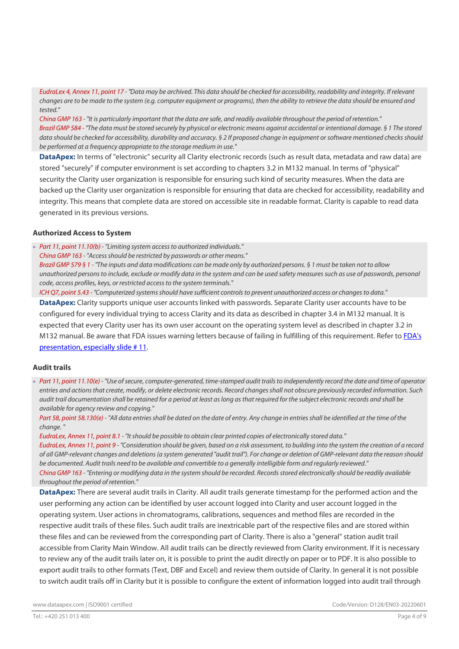EudraLex 4, Annex 11, point 17 - "Data may be archived. This data should be checked for accessibility, readability and integrity. If relevant changes are to be made to the system (e.g. computer equipment or programs), then the ability to retrieve the data should be ensured and tested."

China GMP 163 - "It is particularly important that the data are safe, and readily available throughout the period of retention." Brazil GMP 584 - "The data must be stored securely by physical or electronic means against accidental or intentional damage. § 1 The stored data should be checked for accessibility, durability and accuracy. § 2 If proposed change in equipment or software mentioned checks should be performed at a frequency appropriate to the storage medium in use."

DataApex: In terms of "electronic" security all Clarity electronic records (such as result data, metadata and raw data) are stored "securely" if computer environment is set according to chapters 3.2 in M132 manual. In terms of "physical" security the Clarity user organization is responsible for ensuring such kind of security measures. When the data are backed up the Clarity user organization is responsible for ensuring that data are checked for accessibility, readability and integrity. This means that complete data are stored on accessible site in readable format. Clarity is capable to read data generated in its previous versions.

## Authorized Access to System

Part 11, point 11.10(b) - "Limiting system access to authorized individuals."

China GMP 163 - "Access should be restricted by passwords or other means."

Brazil GMP 579 § 1 - "The inputs and data modifications can be made only by authorized persons. § 1 must be taken not to allow unauthorized persons to include, exclude or modify data in the system and can be used safety measures such as use of passwords, personal code, access profiles, keys, or restricted access to the system terminals."

ICH Q7, point 5.43 - "Computerized systems should have sufficient controls to prevent unauthorized access or changes to data." DataApex: Clarity supports unique user accounts linked with passwords. Separate Clarity user accounts have to be configured for every individual trying to access Clarity and its data as described in chapter 3.4 in M132 manual. It is expected that every Clarity user has its own user account on the operating system level as described in chapter 3.2 in M132 manual. Be aware that FDA issues warning letters because of failing in fulfilling of this requirement. Refer to FDA's presentation, especially slide # 11.

## Audit trails

Part 11, point 11.10(e) - "Use of secure, computer-generated, time-stamped audit trails to independently record the date and time of operator entries and actions that create, modify, or delete electronic records. Record changes shall not obscure previously recorded information. Such audit trail documentation shall be retained for a period at least as long as that required for the subject electronic records and shall be available for agency review and copying."

Part 58, point 58.130(e) - "All data entries shall be dated on the date of entry. Any change in entries shall be identified at the time of the change. "

EudraLex, Annex 11, point 8.1 - "It should be possible to obtain clear printed copies of electronically stored data." EudraLex, Annex 11, point 9 - "Consideration should be given, based on a risk assessment, to building into the system the creation of a record of all GMP-relevant changes and deletions (a system generated "audit trail"). For change or deletion of GMP-relevant data the reason should be documented. Audit trails need to be available and convertible to a generally intelligible form and regularly reviewed." China GMP 163 - "Entering or modifying data in the system should be recorded. Records stored electronically should be readily available throughout the period of retention."

DataApex: There are several audit trails in Clarity. All audit trails generate timestamp for the performed action and the user performing any action can be identified by user account logged into Clarity and user account logged in the operating system. User actions in chromatograms, calibrations, sequences and method files are recorded in the respective audit trails of these files. Such audit trails are inextricable part of the respective files and are stored within these files and can be reviewed from the corresponding part of Clarity. There is also a "general" station audit trail accessible from Clarity Main Window. All audit trails can be directly reviewed from Clarity environment. If it is necessary to review any of the audit trails later on, it is possible to print the audit directly on paper or to PDF. It is also possible to export audit trails to other formats (Text, DBF and Excel) and review them outside of Clarity. In general it is not possible to switch audit trails off in Clarity but it is possible to configure the extent of information logged into audit trail through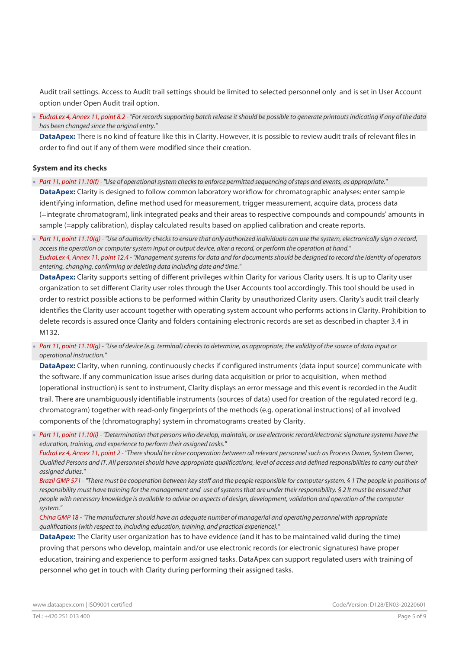Audit trail settings. Access to Audit trail settings should be limited to selected personnel only and is set in User Account option under Open Audit trail option.

 EudraLex 4, Annex 11, point 8.2 - "For records supporting batch release it should be possible to generate printouts indicating if any of the data has been changed since the original entry."

DataApex: There is no kind of feature like this in Clarity. However, it is possible to review audit trails of relevant files in order to find out if any of them were modified since their creation.

## System and its checks

- Part 11, point 11.10(f) "Use of operational system checks to enforce permitted sequencing of steps and events, as appropriate." DataApex: Clarity is designed to follow common laboratory workflow for chromatographic analyses: enter sample identifying information, define method used for measurement, trigger measurement, acquire data, process data (=integrate chromatogram), link integrated peaks and their areas to respective compounds and compounds' amounts in sample (=apply calibration), display calculated results based on applied calibration and create reports.
- Part 11, point 11.10(g) "Use of authority checks to ensure that only authorized individuals can use the system, electronically sign a record, access the operation or computer system input or output device, alter a record, or perform the operation at hand." EudraLex 4, Annex 11, point 12.4 - "Management systems for data and for documents should be designed to record the identity of operators entering, changing, confirming or deleting data including date and time."

DataApex: Clarity supports setting of different privileges within Clarity for various Clarity users. It is up to Clarity user organization to set different Clarity user roles through the User Accounts tool accordingly. This tool should be used in order to restrict possible actions to be performed within Clarity by unauthorized Clarity users. Clarity's audit trail clearly identifies the Clarity user account together with operating system account who performs actions in Clarity. Prohibition to delete records is assured once Clarity and folders containing electronic records are set as described in chapter 3.4 in M132.

Part 11, point 11.10(q) - "Use of device (e.g. terminal) checks to determine, as appropriate, the validity of the source of data input or operational instruction."

DataApex: Clarity, when running, continuously checks if configured instruments (data input source) communicate with the software. If any communication issue arises during data acquisition or prior to acquisition, when method (operational instruction) is sent to instrument, Clarity displays an error message and this event is recorded in the Audit trail. There are unambiguously identifiable instruments (sources of data) used for creation of the regulated record (e.g. chromatogram) together with read-only fingerprints of the methods (e.g. operational instructions) of all involved components of the (chromatography) system in chromatograms created by Clarity.

Part 11, point 11.10(i) - "Determination that persons who develop, maintain, or use electronic record/electronic signature systems have the education, training, and experience to perform their assigned tasks."

EudraLex 4, Annex 11, point 2 - "There should be close cooperation between all relevant personnel such as Process Owner, System Owner, Qualified Persons and IT. All personnel should have appropriate qualifications, level of access and defined responsibilities to carry out their assigned duties."

Brazil GMP 571 - "There must be cooperation between key staff and the people responsible for computer system. § 1 The people in positions of responsibility must have training for the management and use of systems that are under their responsibility. § 2 It must be ensured that people with necessary knowledge is available to advise on aspects of design, development, validation and operation of the computer system."

China GMP 18 - "The manufacturer should have an adequate number of managerial and operating personnel with appropriate qualifications (with respect to, including education, training, and practical experience)."

DataApex: The Clarity user organization has to have evidence (and it has to be maintained valid during the time) proving that persons who develop, maintain and/or use electronic records (or electronic signatures) have proper education, training and experience to perform assigned tasks. DataApex can support regulated users with training of personnel who get in touch with Clarity during performing their assigned tasks.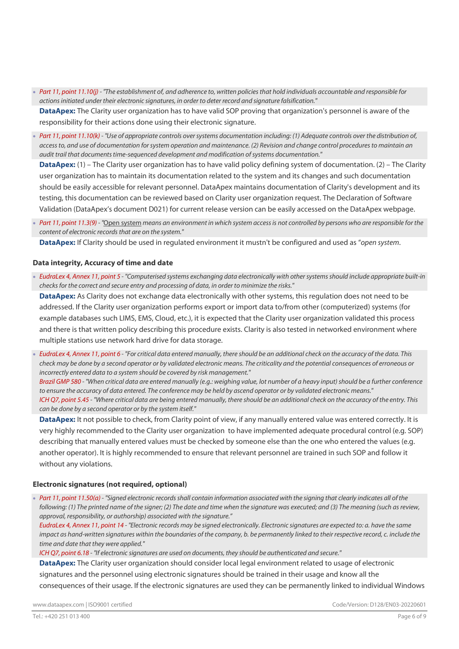Part 11, point 11.10(j) - "The establishment of, and adherence to, written policies that hold individuals accountable and responsible for actions initiated under their electronic signatures, in order to deter record and signature falsification."

DataApex: The Clarity user organization has to have valid SOP proving that organization's personnel is aware of the responsibility for their actions done using their electronic signature.

Part 11, point 11.10(k) - "Use of appropriate controls over systems documentation including: (1) Adequate controls over the distribution of, access to, and use of documentation for system operation and maintenance. (2) Revision and change control procedures to maintain an audit trail that documents time-sequenced development and modification of systems documentation."

**DataApex:** (1) – The Clarity user organization has to have valid policy defining system of documentation. (2) – The Clarity user organization has to maintain its documentation related to the system and its changes and such documentation should be easily accessible for relevant personnel. DataApex maintains documentation of Clarity's development and its testing, this documentation can be reviewed based on Clarity user organization request. The Declaration of Software Validation (DataApex's document D021) for current release version can be easily accessed on the DataApex webpage.

Part 11, point 11.3(9) - "Open system means an environment in which system access is not controlled by persons who are responsible for the content of electronic records that are on the system."

DataApex: If Clarity should be used in regulated environment it mustn't be configured and used as "open system.

#### Data integrity, Accuracy of time and date

 EudraLex 4, Annex 11, point 5 - "Computerised systems exchanging data electronically with other systems should include appropriate built-in checks for the correct and secure entry and processing of data, in order to minimize the risks."

DataApex: As Clarity does not exchange data electronically with other systems, this regulation does not need to be addressed. If the Clarity user organization performs export or import data to/from other (computerized) systems (for example databases such LIMS, EMS, Cloud, etc.), it is expected that the Clarity user organization validated this process and there is that written policy describing this procedure exists. Clarity is also tested in networked environment where multiple stations use network hard drive for data storage.

 EudraLex 4, Annex 11, point 6 - "For critical data entered manually, there should be an additional check on the accuracy of the data. This check may be done by a second operator or by validated electronic means. The criticality and the potential consequences of erroneous or incorrectly entered data to a system should be covered by risk management."

Brazil GMP 580 - "When critical data are entered manually (e.g.: weighing value, lot number of a heavy input) should be a further conference to ensure the accuracy of data entered. The conference may be held by ascend operator or by validated electronic means." ICH Q7, point 5.45 - "Where critical data are being entered manually, there should be an additional check on the accuracy of the entry. This can be done by a second operator or by the system itself."

DataApex: It not possible to check, from Clarity point of view, if any manually entered value was entered correctly. It is very highly recommended to the Clarity user organization to have implemented adequate procedural control (e.g. SOP) describing that manually entered values must be checked by someone else than the one who entered the values (e.g. another operator). It is highly recommended to ensure that relevant personnel are trained in such SOP and follow it without any violations.

#### Electronic signatures (not required, optional)

Part 11, point 11.50(a) - "Signed electronic records shall contain information associated with the signing that clearly indicates all of the following: (1) The printed name of the signer; (2) The date and time when the signature was executed; and (3) The meaning (such as review, approval, responsibility, or authorship) associated with the signature."

EudraLex 4, Annex 11, point 14 - "Electronic records may be signed electronically. Electronic signatures are expected to: a. have the same impact as hand-written signatures within the boundaries of the company, b. be permanently linked to their respective record, c. include the time and date that they were applied."

ICH Q7, point 6.18 - "If electronic signatures are used on documents, they should be authenticated and secure."

DataApex: The Clarity user organization should consider local legal environment related to usage of electronic signatures and the personnel using electronic signatures should be trained in their usage and know all the consequences of their usage. If the electronic signatures are used they can be permanently linked to individual Windows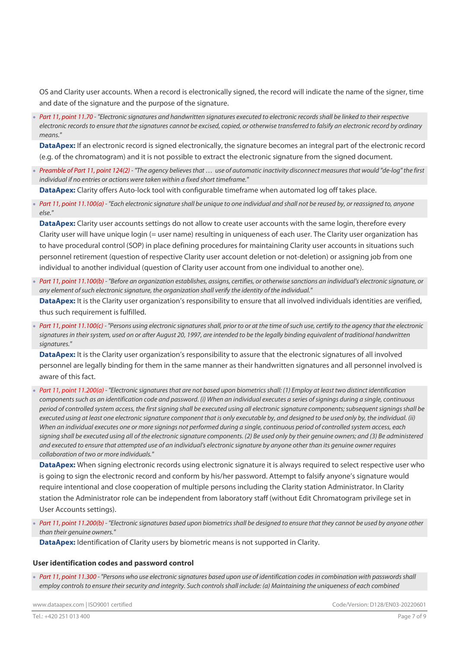OS and Clarity user accounts. When a record is electronically signed, the record will indicate the name of the signer, time and date of the signature and the purpose of the signature.

Part 11, point 11.70 - "Electronic signatures and handwritten signatures executed to electronic records shall be linked to their respective electronic records to ensure that the signatures cannot be excised, copied, or otherwise transferred to falsify an electronic record by ordinary means."

DataApex: If an electronic record is signed electronically, the signature becomes an integral part of the electronic record (e.g. of the chromatogram) and it is not possible to extract the electronic signature from the signed document.

 Preamble of Part 11, point 124(2) - "The agency believes that … use of automatic inactivity disconnect measures that would "de-log" the first individual if no entries or actions were taken within a fixed short timeframe."

DataApex: Clarity offers Auto-lock tool with configurable timeframe when automated log off takes place.

 Part 11, point 11.100(a) - "Each electronic signature shall be unique to one individual and shall not be reused by, or reassigned to, anyone else."

DataApex: Clarity user accounts settings do not allow to create user accounts with the same login, therefore every Clarity user will have unique login (= user name) resulting in uniqueness of each user. The Clarity user organization has to have procedural control (SOP) in place defining procedures for maintaining Clarity user accounts in situations such personnel retirement (question of respective Clarity user account deletion or not-deletion) or assigning job from one individual to another individual (question of Clarity user account from one individual to another one).

 Part 11, point 11.100(b) - "Before an organization establishes, assigns, certifies, or otherwise sanctions an individual's electronic signature, or any element of such electronic signature, the organization shall verify the identity of the individual."

DataApex: It is the Clarity user organization's responsibility to ensure that all involved individuals identities are verified, thus such requirement is fulfilled.

Part 11, point 11.100(c) - "Persons using electronic signatures shall, prior to or at the time of such use, certify to the agency that the electronic signatures in their system, used on or after August 20, 1997, are intended to be the legally binding equivalent of traditional handwritten signatures."

DataApex: It is the Clarity user organization's responsibility to assure that the electronic signatures of all involved personnel are legally binding for them in the same manner as their handwritten signatures and all personnel involved is aware of this fact.

 Part 11, point 11.200(a) - "Electronic signatures that are not based upon biometrics shall: (1) Employ at least two distinct identification components such as an identification code and password. (i) When an individual executes a series of signings during a single, continuous period of controlled system access, the first signing shall be executed using all electronic signature components; subsequent signings shall be executed using at least one electronic signature component that is only executable by, and designed to be used only by, the individual. (ii) When an individual executes one or more signings not performed during a single, continuous period of controlled system access, each signing shall be executed using all of the electronic signature components. (2) Be used only by their genuine owners; and (3) Be administered and executed to ensure that attempted use of an individual's electronic signature by anyone other than its genuine owner requires collaboration of two or more individuals."

DataApex: When signing electronic records using electronic signature it is always required to select respective user who is going to sign the electronic record and conform by his/her password. Attempt to falsify anyone's signature would require intentional and close cooperation of multiple persons including the Clarity station Administrator. In Clarity station the Administrator role can be independent from laboratory staff (without Edit Chromatogram privilege set in User Accounts settings).

Part 11, point 11.200(b) - "Electronic signatures based upon biometrics shall be designed to ensure that they cannot be used by anyone other than their genuine owners."

DataApex: Identification of Clarity users by biometric means is not supported in Clarity.

#### User identification codes and password control

 Part 11, point 11.300 - "Persons who use electronic signatures based upon use of identification codes in combination with passwords shall employ controls to ensure their security and integrity. Such controls shall include: (a) Maintaining the uniqueness of each combined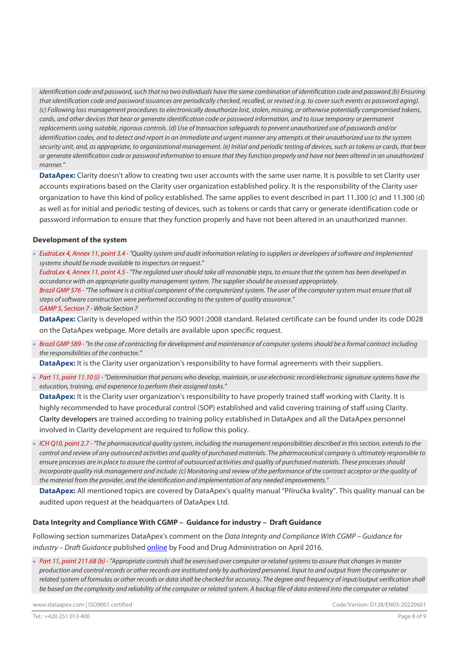identification code and password, such that no two individuals have the same combination of identification code and password.(b) Ensuring that identification code and password issuances are periodically checked, recalled, or revised (e.g. to cover such events as password aging). (c) Following loss management procedures to electronically deauthorize lost, stolen, missing, or otherwise potentially compromised tokens, cards, and other devices that bear or generate identification code or password information, and to issue temporary or permanent replacements using suitable, rigorous controls. (d) Use of transaction safeguards to prevent unauthorized use of passwords and/or identification codes, and to detect and report in an immediate and urgent manner any attempts at their unauthorized use to the system security unit, and, as appropriate, to organizational management. (e) Initial and periodic testing of devices, such as tokens or cards, that bear or generate identification code or password information to ensure that they function properly and have not been altered in an unauthorized manner."

DataApex: Clarity doesn't allow to creating two user accounts with the same user name. It is possible to set Clarity user accounts expirations based on the Clarity user organization established policy. It is the responsibility of the Clarity user organization to have this kind of policy established. The same applies to event described in part 11.300 (c) and 11.300 (d) as well as for initial and periodic testing of devices, such as tokens or cards that carry or generate identification code or password information to ensure that they function properly and have not been altered in an unauthorized manner.

#### Development of the system

 EudraLex 4, Annex 11, point 3.4 - "Quality system and audit information relating to suppliers or developers of software and implemented systems should be made available to inspectors on request." EudraLex 4, Annex 11, point 4.5 - "The regulated user should take all reasonable steps, to ensure that the system has been developed in accordance with an appropriate quality management system. The supplier should be assessed appropriately. Brazil GMP 576 - "The software is a critical component of the computerized system. The user of the computer system must ensure that all steps of software construction were performed according to the system of quality assurance."

GAMP 5, Section 7 - Whole Section 7

DataApex: Clarity is developed within the ISO 9001:2008 standard. Related certificate can be found under its code D028 on the DataApex webpage. More details are available upon specific request.

 Brazil GMP 589 - "In the case of contracting for development and maintenance of computer systems should be a formal contract including the responsibilities of the contractor."

DataApex: It is the Clarity user organization's responsibility to have formal agreements with their suppliers.

Part 11, point 11.10 (i) - "Determination that persons who develop, maintain, or use electronic record/electronic signature systems have the education, training, and experience to perform their assigned tasks."

DataApex: It is the Clarity user organization's responsibility to have properly trained staff working with Clarity. It is highly recommended to have procedural control (SOP) established and valid covering training of staff using Clarity. Clarity developers are trained according to training policy established in DataApex and all the DataApex personnel involved in Clarity development are required to follow this policy.

 ICH Q10, point 2.7 - "The pharmaceutical quality system, including the management responsibilities described in this section, extends to the control and review of any outsourced activities and quality of purchased materials. The pharmaceutical company is ultimately responsible to ensure processes are in place to assure the control of outsourced activities and quality of purchased materials. These processes should incorporate quality risk management and include: (c) Monitoring and review of the performance of the contract acceptor or the quality of the material from the provider, and the identification and implementation of any needed improvements."

DataApex: All mentioned topics are covered by DataApex's quality manual "Příručka kvality". This quality manual can be audited upon request at the headquarters of DataApex Ltd.

## Data Integrity and Compliance With CGMP – Guidance for industry – Draft Guidance

Following section summarizes DataApex's comment on the Data Integrity and Compliance With CGMP – Guidance for industry – Draft Guidance published online by Food and Drug Administration on April 2016.

• Part 11, point 211.68 (b) - "Appropriate controls shall be exercised over computer or related systems to assure that changes in master production and control records or other records are instituted only by authorized personnel. Input to and output from the computer or related system of formulas or other records or data shall be checked for accuracy. The degree and frequency of input/output verification shall be based on the complexity and reliability of the computer or related system. A backup file of data entered into the computer or related

www.dataapex.com | ISO9001 certified Code/Version: D128/EN03-20220601